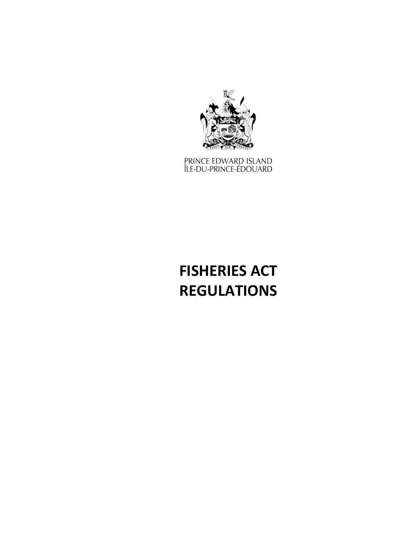

prince edward island<br>Île-du-prince-édouard

# **FISHERIES ACT REGULATIONS**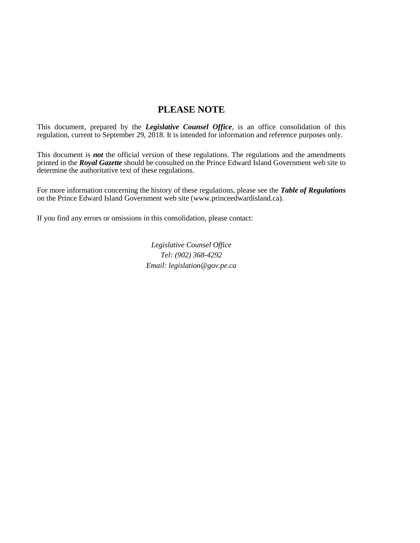# **PLEASE NOTE**

This document, prepared by the *[Legislative Counsel Office](http://www.gov.pe.ca/jps/index.php3?number=1027247)*, is an office consolidation of this regulation, current to September 29, 2018. It is intended for information and reference purposes only.

This document is *not* the official version of these regulations. The regulations and the amendments printed in the *Royal Gazette* should be consulted on the Prince Edward Island Government web site to determine the authoritative text of these regulations.

For more information concerning the history of these regulations, please see the *[Table of Regulations](https://www.princeedwardisland.ca/sites/default/files/publications/leg_table_acts.pdf)* on the Prince Edward Island Government web site (www.princeedwardisland.ca).

If you find any errors or omissions in this consolidation, please contact:

*Legislative Counsel Office Tel: (902) 368-4292 Email: legislation@gov.pe.ca*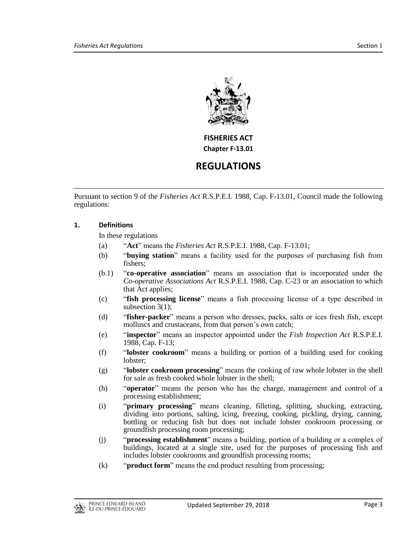

**FISHERIES ACT Chapter F-13.01**

# **REGULATIONS**

Pursuant to section 9 of the *Fisheries Act* R.S.P.E.I. 1988, Cap. F-13.01, Council made the following regulations:

# **1. Definitions**

In these regulations

- (a) "**Act**" means the *Fisheries Act* R.S.P.E.I. 1988, Cap. F-13.01;
- (b) "**buying station**" means a facility used for the purposes of purchasing fish from fishers;
- (b.1) "**co-operative association**" means an association that is incorporated under the *Co-operative Associations Act* R.S.P.E.I. 1988, Cap. C-23 or an association to which that Act applies;
- (c) "**fish processing license**" means a fish processing license of a type described in subsection 3(1);
- (d) "**fisher-packer**" means a person who dresses, packs, salts or ices fresh fish, except molluscs and crustaceans, from that person's own catch;
- (e) "**inspector**" means an inspector appointed under the *Fish Inspection Act* R.S.P.E.I. 1988, Cap. F-13;
- (f) "**lobster cookroom**" means a building or portion of a building used for cooking lobster;
- (g) "**lobster cookroom processing**" means the cooking of raw whole lobster in the shell for sale as fresh cooked whole lobster in the shell;
- (h) "**operator**" means the person who has the charge, management and control of a processing establishment;
- (i) "**primary processing**" means cleaning, filleting, splitting, shucking, extracting, dividing into portions, salting, icing, freezing, cooking, pickling, drying, canning, bottling or reducing fish but does not include lobster cookroom processing or groundfish processing room processing;
- (j) "**processing establishment**" means a building, portion of a building or a complex of buildings, located at a single site, used for the purposes of processing fish and includes lobster cookrooms and groundfish processing rooms;
- (k) "**product form**" means the end product resulting from processing;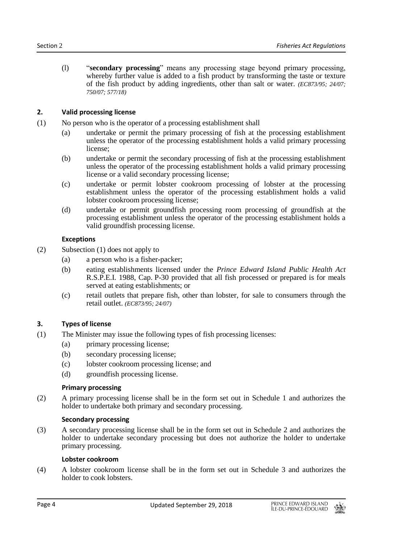(l) "**secondary processing**" means any processing stage beyond primary processing, whereby further value is added to a fish product by transforming the taste or texture of the fish product by adding ingredients, other than salt or water. *(EC873/95; 24/07; 750/07; 577/18)*

# **2. Valid processing license**

- (1) No person who is the operator of a processing establishment shall
	- (a) undertake or permit the primary processing of fish at the processing establishment unless the operator of the processing establishment holds a valid primary processing license;
	- (b) undertake or permit the secondary processing of fish at the processing establishment unless the operator of the processing establishment holds a valid primary processing license or a valid secondary processing license;
	- (c) undertake or permit lobster cookroom processing of lobster at the processing establishment unless the operator of the processing establishment holds a valid lobster cookroom processing license;
	- (d) undertake or permit groundfish processing room processing of groundfish at the processing establishment unless the operator of the processing establishment holds a valid groundfish processing license.

# **Exceptions**

- (2) Subsection (1) does not apply to
	- (a) a person who is a fisher-packer;
	- (b) eating establishments licensed under the *Prince Edward Island Public Health Act* R.S.P.E.I. 1988, Cap. P-30 provided that all fish processed or prepared is for meals served at eating establishments; or
	- (c) retail outlets that prepare fish, other than lobster, for sale to consumers through the retail outlet. *(EC873/95; 24/07)*

# **3. Types of license**

- (1) The Minister may issue the following types of fish processing licenses:
	- (a) primary processing license;
	- (b) secondary processing license;
	- (c) lobster cookroom processing license; and
	- (d) groundfish processing license.

# **Primary processing**

(2) A primary processing license shall be in the form set out in Schedule 1 and authorizes the holder to undertake both primary and secondary processing.

# **Secondary processing**

(3) A secondary processing license shall be in the form set out in Schedule 2 and authorizes the holder to undertake secondary processing but does not authorize the holder to undertake primary processing.

# **Lobster cookroom**

(4) A lobster cookroom license shall be in the form set out in Schedule 3 and authorizes the holder to cook lobsters.

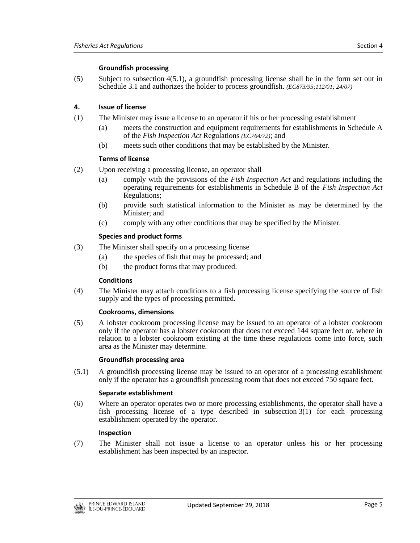# **Groundfish processing**

(5) Subject to subsection 4(5.1), a groundfish processing license shall be in the form set out in Schedule 3.1 and authorizes the holder to process groundfish. *(EC873/95;112/01; 24/07)*

# **4. Issue of license**

- (1) The Minister may issue a license to an operator if his or her processing establishment
	- (a) meets the construction and equipment requirements for establishments in Schedule A of the *Fish Inspection Act* Regulations *(EC764/72)*; and
	- (b) meets such other conditions that may be established by the Minister.

# **Terms of license**

- (2) Upon receiving a processing license, an operator shall
	- (a) comply with the provisions of the *Fish Inspection Act* and regulations including the operating requirements for establishments in Schedule B of the *Fish Inspection Act* Regulations;
	- (b) provide such statistical information to the Minister as may be determined by the Minister; and
	- (c) comply with any other conditions that may be specified by the Minister.

# **Species and product forms**

- (3) The Minister shall specify on a processing license
	- (a) the species of fish that may be processed; and
	- (b) the product forms that may produced.

# **Conditions**

(4) The Minister may attach conditions to a fish processing license specifying the source of fish supply and the types of processing permitted.

# **Cookrooms, dimensions**

(5) A lobster cookroom processing license may be issued to an operator of a lobster cookroom only if the operator has a lobster cookroom that does not exceed 144 square feet or, where in relation to a lobster cookroom existing at the time these regulations come into force, such area as the Minister may determine.

# **Groundfish processing area**

(5.1) A groundfish processing license may be issued to an operator of a processing establishment only if the operator has a groundfish processing room that does not exceed 750 square feet.

# **Separate establishment**

(6) Where an operator operates two or more processing establishments, the operator shall have a fish processing license of a type described in subsection 3(1) for each processing establishment operated by the operator.

# **Inspection**

(7) The Minister shall not issue a license to an operator unless his or her processing establishment has been inspected by an inspector.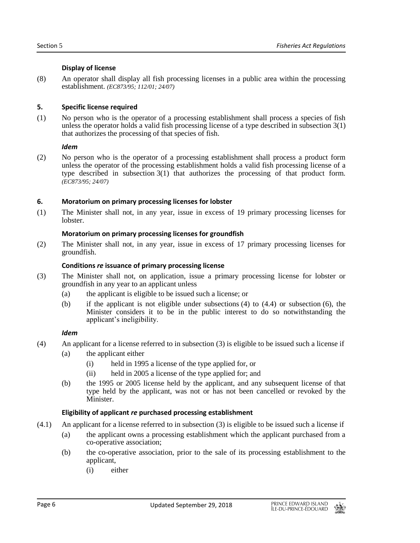# **Display of license**

(8) An operator shall display all fish processing licenses in a public area within the processing establishment. *(EC873/95; 112/01; 24/07)*

# **5. Specific license required**

(1) No person who is the operator of a processing establishment shall process a species of fish unless the operator holds a valid fish processing license of a type described in subsection 3(1) that authorizes the processing of that species of fish.

# *Idem*

(2) No person who is the operator of a processing establishment shall process a product form unless the operator of the processing establishment holds a valid fish processing license of a type described in subsection 3(1) that authorizes the processing of that product form. *(EC873/95; 24/07)*

# **6. Moratorium on primary processing licenses for lobster**

(1) The Minister shall not, in any year, issue in excess of 19 primary processing licenses for lobster.

# **Moratorium on primary processing licenses for groundfish**

(2) The Minister shall not, in any year, issue in excess of 17 primary processing licenses for groundfish.

# **Conditions** *re* **issuance of primary processing license**

- (3) The Minister shall not, on application, issue a primary processing license for lobster or groundfish in any year to an applicant unless
	- (a) the applicant is eligible to be issued such a license; or
	- (b) if the applicant is not eligible under subsections (4) to (4.4) or subsection (6), the Minister considers it to be in the public interest to do so notwithstanding the applicant's ineligibility.

# *Idem*

- (4) An applicant for a license referred to in subsection (3) is eligible to be issued such a license if
	- (a) the applicant either
		- (i) held in 1995 a license of the type applied for, or
		- (ii) held in 2005 a license of the type applied for; and
	- (b) the 1995 or 2005 license held by the applicant, and any subsequent license of that type held by the applicant, was not or has not been cancelled or revoked by the Minister.

# **Eligibility of applicant** *re* **purchased processing establishment**

- (4.1) An applicant for a license referred to in subsection (3) is eligible to be issued such a license if
	- (a) the applicant owns a processing establishment which the applicant purchased from a co-operative association;
	- (b) the co-operative association, prior to the sale of its processing establishment to the applicant,
		- (i) either

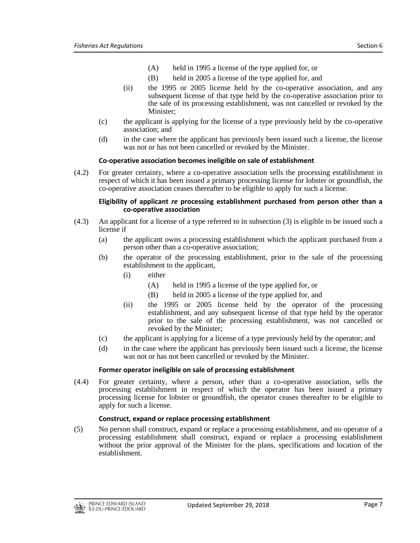- (A) held in 1995 a license of the type applied for, or
- (B) held in 2005 a license of the type applied for, and
- (ii) the 1995 or 2005 license held by the co-operative association, and any subsequent license of that type held by the co-operative association prior to the sale of its processing establishment, was not cancelled or revoked by the Minister;
- (c) the applicant is applying for the license of a type previously held by the co-operative association; and
- (d) in the case where the applicant has previously been issued such a license, the license was not or has not been cancelled or revoked by the Minister.

# **Co-operative association becomes ineligible on sale of establishment**

(4.2) For greater certainty, where a co-operative association sells the processing establishment in respect of which it has been issued a primary processing license for lobster or groundfish, the co-operative association ceases thereafter to be eligible to apply for such a license.

#### **Eligibility of applicant** *re* **processing establishment purchased from person other than a co-operative association**

- (4.3) An applicant for a license of a type referred to in subsection (3) is eligible to be issued such a license if
	- (a) the applicant owns a processing establishment which the applicant purchased from a person other than a co-operative association;
	- (b) the operator of the processing establishment, prior to the sale of the processing establishment to the applicant,
		- (i) either
			- (A) held in 1995 a license of the type applied for, or
			- (B) held in 2005 a license of the type applied for, and
		- (ii) the 1995 or 2005 license held by the operator of the processing establishment, and any subsequent license of that type held by the operator prior to the sale of the processing establishment, was not cancelled or revoked by the Minister;
	- (c) the applicant is applying for a license of a type previously held by the operator; and
	- (d) in the case where the applicant has previously been issued such a license, the license was not or has not been cancelled or revoked by the Minister.

#### **Former operator ineligible on sale of processing establishment**

(4.4) For greater certainty, where a person, other than a co-operative association, sells the processing establishment in respect of which the operator has been issued a primary processing license for lobster or groundfish, the operator ceases thereafter to be eligible to apply for such a license.

# **Construct, expand or replace processing establishment**

(5) No person shall construct, expand or replace a processing establishment, and no operator of a processing establishment shall construct, expand or replace a processing establishment without the prior approval of the Minister for the plans, specifications and location of the establishment.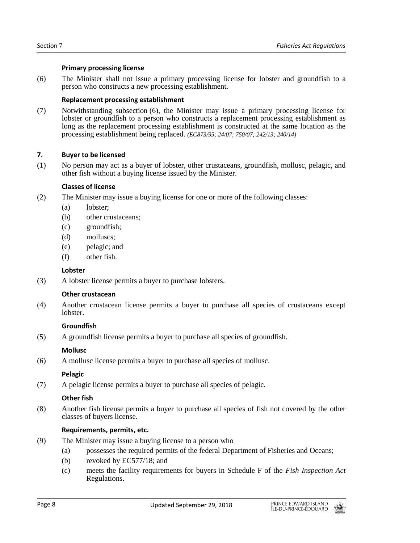# **Primary processing license**

(6) The Minister shall not issue a primary processing license for lobster and groundfish to a person who constructs a new processing establishment.

# **Replacement processing establishment**

(7) Notwithstanding subsection (6), the Minister may issue a primary processing license for lobster or groundfish to a person who constructs a replacement processing establishment as long as the replacement processing establishment is constructed at the same location as the processing establishment being replaced. *(EC873/95; 24/07; 750/07; 242/13; 240/14)*

# **7. Buyer to be licensed**

(1) No person may act as a buyer of lobster, other crustaceans, groundfish, mollusc, pelagic, and other fish without a buying license issued by the Minister.

# **Classes of license**

- (2) The Minister may issue a buying license for one or more of the following classes:
	- (a) lobster;
	- (b) other crustaceans;
	- (c) groundfish;
	- (d) molluscs;
	- (e) pelagic; and
	- (f) other fish.

# **Lobster**

(3) A lobster license permits a buyer to purchase lobsters.

# **Other crustacean**

(4) Another crustacean license permits a buyer to purchase all species of crustaceans except lobster.

# **Groundfish**

(5) A groundfish license permits a buyer to purchase all species of groundfish.

# **Mollusc**

(6) A mollusc license permits a buyer to purchase all species of mollusc.

# **Pelagic**

(7) A pelagic license permits a buyer to purchase all species of pelagic.

# **Other fish**

(8) Another fish license permits a buyer to purchase all species of fish not covered by the other classes of buyers license.

# **Requirements, permits, etc.**

- (9) The Minister may issue a buying license to a person who
	- (a) possesses the required permits of the federal Department of Fisheries and Oceans;
	- (b) revoked by EC577/18; and
	- (c) meets the facility requirements for buyers in Schedule F of the *Fish Inspection Act* Regulations.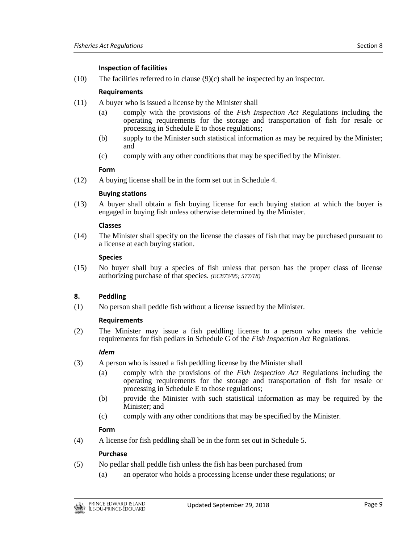# **Inspection of facilities**

(10) The facilities referred to in clause (9)(c) shall be inspected by an inspector.

# **Requirements**

- (11) A buyer who is issued a license by the Minister shall
	- (a) comply with the provisions of the *Fish Inspection Act* Regulations including the operating requirements for the storage and transportation of fish for resale or processing in Schedule E to those regulations;
	- (b) supply to the Minister such statistical information as may be required by the Minister; and
	- (c) comply with any other conditions that may be specified by the Minister.

# **Form**

(12) A buying license shall be in the form set out in Schedule 4.

# **Buying stations**

(13) A buyer shall obtain a fish buying license for each buying station at which the buyer is engaged in buying fish unless otherwise determined by the Minister.

# **Classes**

(14) The Minister shall specify on the license the classes of fish that may be purchased pursuant to a license at each buying station.

# **Species**

(15) No buyer shall buy a species of fish unless that person has the proper class of license authorizing purchase of that species. *(EC873/95; 577/18)*

# **8. Peddling**

(1) No person shall peddle fish without a license issued by the Minister.

# **Requirements**

(2) The Minister may issue a fish peddling license to a person who meets the vehicle requirements for fish pedlars in Schedule G of the *Fish Inspection Act* Regulations.

# *Idem*

- (3) A person who is issued a fish peddling license by the Minister shall
	- (a) comply with the provisions of the *Fish Inspection Act* Regulations including the operating requirements for the storage and transportation of fish for resale or processing in Schedule E to those regulations;
	- (b) provide the Minister with such statistical information as may be required by the Minister; and
	- (c) comply with any other conditions that may be specified by the Minister.

# **Form**

(4) A license for fish peddling shall be in the form set out in Schedule 5.

# **Purchase**

- (5) No pedlar shall peddle fish unless the fish has been purchased from
	- (a) an operator who holds a processing license under these regulations; or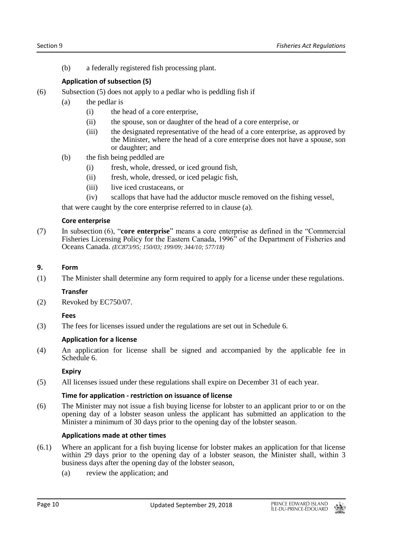(b) a federally registered fish processing plant.

# **Application of subsection (5)**

- (6) Subsection (5) does not apply to a pedlar who is peddling fish if
	- (a) the pedlar is
		- (i) the head of a core enterprise,
		- (ii) the spouse, son or daughter of the head of a core enterprise, or
		- (iii) the designated representative of the head of a core enterprise, as approved by the Minister, where the head of a core enterprise does not have a spouse, son or daughter; and
	- (b) the fish being peddled are
		- (i) fresh, whole, dressed, or iced ground fish,
		- (ii) fresh, whole, dressed, or iced pelagic fish,
		- (iii) live iced crustaceans, or
		- (iv) scallops that have had the adductor muscle removed on the fishing vessel,

that were caught by the core enterprise referred to in clause (a).

# **Core enterprise**

(7) In subsection (6), "**core enterprise**" means a core enterprise as defined in the "Commercial Fisheries Licensing Policy for the Eastern Canada, 1996" of the Department of Fisheries and Oceans Canada. *(EC873/95; 150/03; 199/09; 344/10; 577/18)*

# **9. Form**

(1) The Minister shall determine any form required to apply for a license under these regulations.

# **Transfer**

(2) Revoked by EC750/07.

# **Fees**

(3) The fees for licenses issued under the regulations are set out in Schedule 6.

# **Application for a license**

(4) An application for license shall be signed and accompanied by the applicable fee in Schedule 6.

# **Expiry**

(5) All licenses issued under these regulations shall expire on December 31 of each year.

# **Time for application - restriction on issuance of license**

(6) The Minister may not issue a fish buying license for lobster to an applicant prior to or on the opening day of a lobster season unless the applicant has submitted an application to the Minister a minimum of 30 days prior to the opening day of the lobster season.

# **Applications made at other times**

- (6.1) Where an applicant for a fish buying license for lobster makes an application for that license within 29 days prior to the opening day of a lobster season, the Minister shall, within 3 business days after the opening day of the lobster season,
	- (a) review the application; and

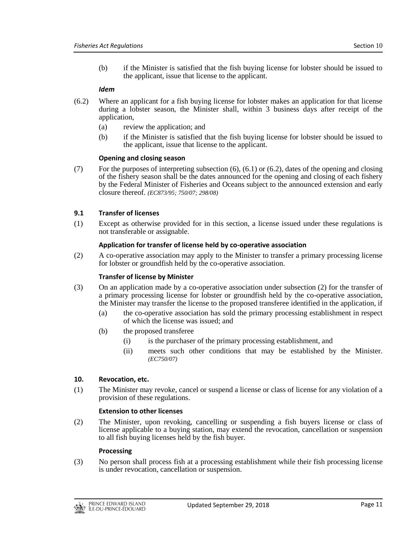(b) if the Minister is satisfied that the fish buying license for lobster should be issued to the applicant, issue that license to the applicant.

# *Idem*

- (6.2) Where an applicant for a fish buying license for lobster makes an application for that license during a lobster season, the Minister shall, within 3 business days after receipt of the application,
	- (a) review the application; and
	- (b) if the Minister is satisfied that the fish buying license for lobster should be issued to the applicant, issue that license to the applicant.

# **Opening and closing season**

(7) For the purposes of interpreting subsection (6), (6.1) or (6.2), dates of the opening and closing of the fishery season shall be the dates announced for the opening and closing of each fishery by the Federal Minister of Fisheries and Oceans subject to the announced extension and early closure thereof. *(EC873/95; 750/07; 298/08)*

# **9.1 Transfer of licenses**

(1) Except as otherwise provided for in this section, a license issued under these regulations is not transferable or assignable.

# **Application for transfer of license held by co-operative association**

(2) A co-operative association may apply to the Minister to transfer a primary processing license for lobster or groundfish held by the co-operative association.

#### **Transfer of license by Minister**

- (3) On an application made by a co-operative association under subsection (2) for the transfer of a primary processing license for lobster or groundfish held by the co-operative association, the Minister may transfer the license to the proposed transferee identified in the application, if
	- (a) the co-operative association has sold the primary processing establishment in respect of which the license was issued; and
	- (b) the proposed transferee
		- (i) is the purchaser of the primary processing establishment, and
		- (ii) meets such other conditions that may be established by the Minister. *(EC750/07)*

# **10. Revocation, etc.**

(1) The Minister may revoke, cancel or suspend a license or class of license for any violation of a provision of these regulations.

#### **Extension to other licenses**

(2) The Minister, upon revoking, cancelling or suspending a fish buyers license or class of license applicable to a buying station, may extend the revocation, cancellation or suspension to all fish buying licenses held by the fish buyer.

#### **Processing**

(3) No person shall process fish at a processing establishment while their fish processing license is under revocation, cancellation or suspension.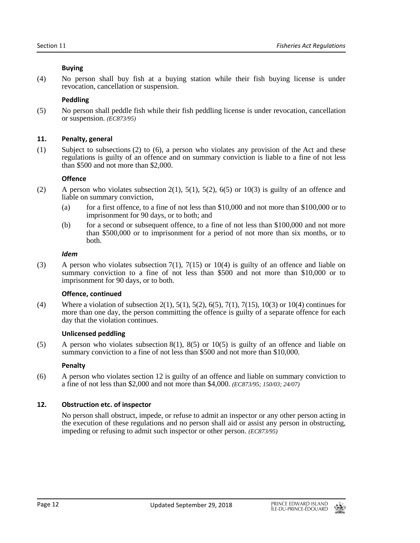# **Buying**

(4) No person shall buy fish at a buying station while their fish buying license is under revocation, cancellation or suspension.

# **Peddling**

(5) No person shall peddle fish while their fish peddling license is under revocation, cancellation or suspension. *(EC873/95)*

# **11. Penalty, general**

(1) Subject to subsections (2) to (6), a person who violates any provision of the Act and these regulations is guilty of an offence and on summary conviction is liable to a fine of not less than \$500 and not more than \$2,000.

# **Offence**

- (2) A person who violates subsection  $2(1)$ ,  $5(1)$ ,  $5(2)$ ,  $6(5)$  or  $10(3)$  is guilty of an offence and liable on summary conviction,
	- (a) for a first offence, to a fine of not less than  $$10,000$  and not more than  $$100,000$  or to imprisonment for 90 days, or to both; and
	- (b) for a second or subsequent offence, to a fine of not less than \$100,000 and not more than \$500,000 or to imprisonment for a period of not more than six months, or to both.

# *Idem*

(3) A person who violates subsection 7(1), 7(15) or 10(4) is guilty of an offence and liable on summary conviction to a fine of not less than \$500 and not more than \$10,000 or to imprisonment for 90 days, or to both.

# **Offence, continued**

(4) Where a violation of subsection 2(1), 5(1), 5(2), 6(5), 7(1), 7(15), 10(3) or 10(4) continues for more than one day, the person committing the offence is guilty of a separate offence for each day that the violation continues.

# **Unlicensed peddling**

(5) A person who violates subsection 8(1), 8(5) or 10(5) is guilty of an offence and liable on summary conviction to a fine of not less than \$500 and not more than \$10,000.

# **Penalty**

(6) A person who violates section 12 is guilty of an offence and liable on summary conviction to a fine of not less than \$2,000 and not more than \$4,000. *(EC873/95; 150/03; 24/07)*

# **12. Obstruction etc. of inspector**

No person shall obstruct, impede, or refuse to admit an inspector or any other person acting in the execution of these regulations and no person shall aid or assist any person in obstructing, impeding or refusing to admit such inspector or other person. *(EC873/95)*

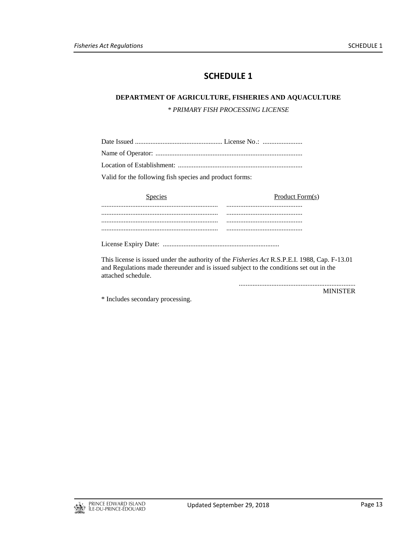# **DEPARTMENT OF AGRICULTURE, FISHERIES AND AQUACULTURE**

*\* PRIMARY FISH PROCESSING LICENSE*

| Valid for the following fish species and product forms: |  |
|---------------------------------------------------------|--|

| <b>Species</b> | Product Form(s) |
|----------------|-----------------|
|                |                 |
|                |                 |
|                |                 |
|                |                 |

This license is issued under the authority of the *Fisheries Act* R.S.P.E.I. 1988, Cap. F-13.01 and Regulations made thereunder and is issued subject to the conditions set out in the attached schedule.

> .................................................................... MINISTER

\* Includes secondary processing.

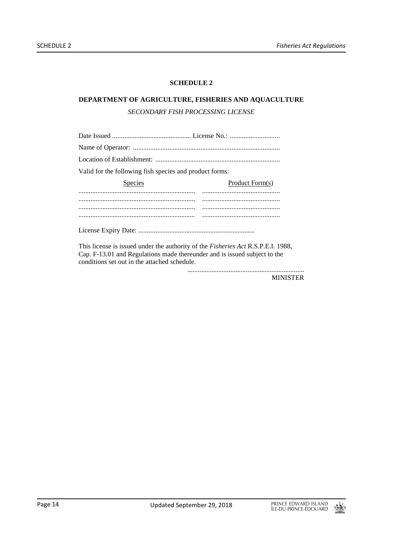# **DEPARTMENT OF AGRICULTURE, FISHERIES AND AQUACULTURE** *SECONDARY FISH PROCESSING LICENSE*

| Valid for the following fish species and product forms: |                 |  |
|---------------------------------------------------------|-----------------|--|
| <b>Species</b>                                          | Product Form(s) |  |
|                                                         |                 |  |
|                                                         |                 |  |
|                                                         |                 |  |
|                                                         |                 |  |

This license is issued under the authority of the *Fisheries Act* R.S.P.E.I. 1988, Cap. F-13.01 and Regulations made thereunder and is issued subject to the conditions set out in the attached schedule.

MINISTER

....................................................................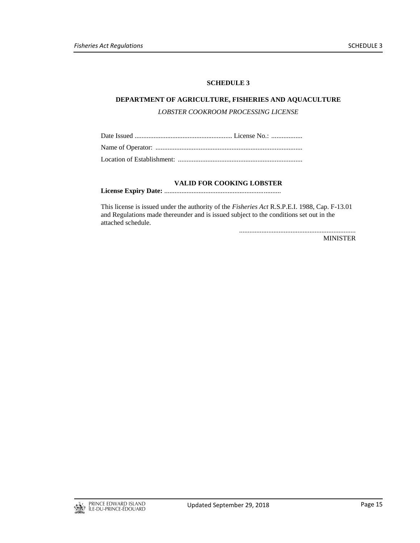# **DEPARTMENT OF AGRICULTURE, FISHERIES AND AQUACULTURE**

*LOBSTER COOKROOM PROCESSING LICENSE*

# **VALID FOR COOKING LOBSTER**

**License Expiry Date:** ....................................................................

This license is issued under the authority of the *Fisheries Act* R.S.P.E.I. 1988, Cap. F-13.01 and Regulations made thereunder and is issued subject to the conditions set out in the attached schedule.

....................................................................

MINISTER

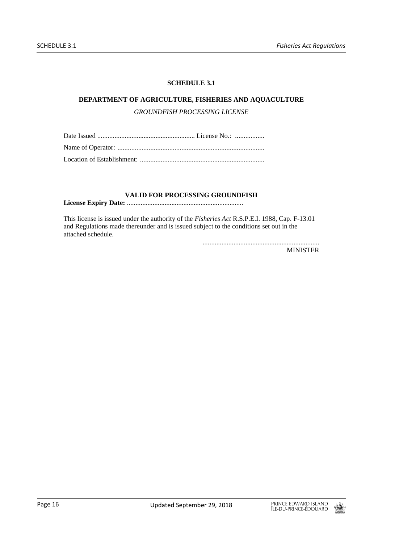# **SCHEDULE 3.1**

# **DEPARTMENT OF AGRICULTURE, FISHERIES AND AQUACULTURE**

*GROUNDFISH PROCESSING LICENSE*

# **VALID FOR PROCESSING GROUNDFISH**

**License Expiry Date:** ....................................................................

This license is issued under the authority of the *Fisheries Act* R.S.P.E.I. 1988, Cap. F-13.01 and Regulations made thereunder and is issued subject to the conditions set out in the attached schedule.

....................................................................

MINISTER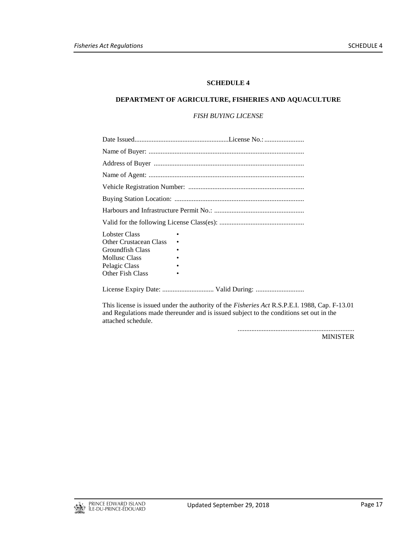#### **DEPARTMENT OF AGRICULTURE, FISHERIES AND AQUACULTURE**

# *FISH BUYING LICENSE*

| <b>Lobster Class</b><br>Other Crustacean Class<br>Groundfish Class<br>Mollusc Class<br>Pelagic Class<br>Other Fish Class |  |  |
|--------------------------------------------------------------------------------------------------------------------------|--|--|
| License Expiry Date:  Valid During:                                                                                      |  |  |

This license is issued under the authority of the *Fisheries Act* R.S.P.E.I. 1988, Cap. F-13.01 and Regulations made thereunder and is issued subject to the conditions set out in the attached schedule.

> .................................................................... MINISTER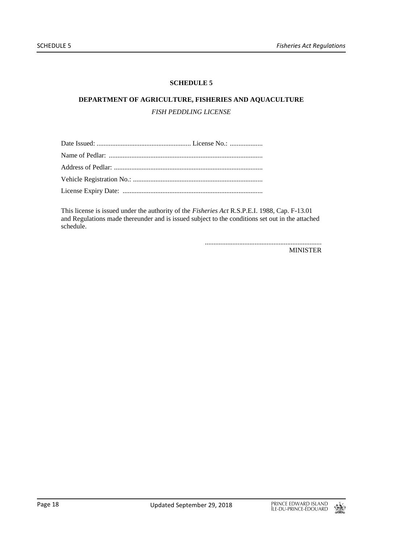# **DEPARTMENT OF AGRICULTURE, FISHERIES AND AQUACULTURE** *FISH PEDDLING LICENSE*

This license is issued under the authority of the *Fisheries Act* R.S.P.E.I. 1988, Cap. F-13.01 and Regulations made thereunder and is issued subject to the conditions set out in the attached schedule.

> .................................................................... MINISTER